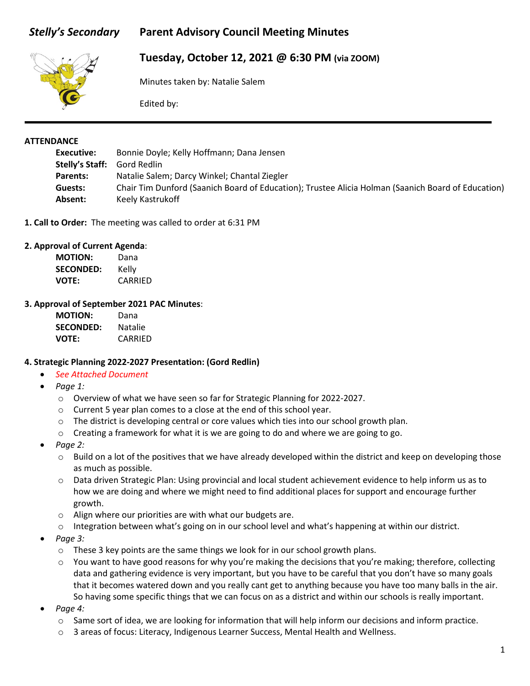# *Stelly's Secondary* **Parent Advisory Council Meeting Minutes**



# **Tuesday, October 12, 2021 @ 6:30 PM (via ZOOM)**

Minutes taken by: Natalie Salem

Edited by:

#### **ATTENDANCE**

| Executive:      | Bonnie Doyle; Kelly Hoffmann; Dana Jensen                                                          |
|-----------------|----------------------------------------------------------------------------------------------------|
| Stelly's Staff: | Gord Redlin                                                                                        |
| Parents:        | Natalie Salem; Darcy Winkel; Chantal Ziegler                                                       |
| Guests:         | Chair Tim Dunford (Saanich Board of Education); Trustee Alicia Holman (Saanich Board of Education) |
| Absent:         | Keely Kastrukoff                                                                                   |

**1. Call to Order:** The meeting was called to order at 6:31 PM

#### **2. Approval of Current Agenda**:

| <b>MOTION:</b>   | Dana    |
|------------------|---------|
| <b>SECONDED:</b> | Kelly   |
| <b>VOTE:</b>     | CARRIED |

#### **3. Approval of September 2021 PAC Minutes**:

| <b>MOTION:</b>   | Dana           |
|------------------|----------------|
| <b>SECONDED:</b> | <b>Natalie</b> |
| <b>VOTE:</b>     | CARRIED        |

#### **4. Strategic Planning 2022-2027 Presentation: (Gord Redlin)**

- *See Attached Document*
- *Page 1:*
	- o Overview of what we have seen so far for Strategic Planning for 2022-2027.
	- o Current 5 year plan comes to a close at the end of this school year.
	- $\circ$  The district is developing central or core values which ties into our school growth plan.
	- $\circ$  Creating a framework for what it is we are going to do and where we are going to go.
- *Page 2:*
	- $\circ$  Build on a lot of the positives that we have already developed within the district and keep on developing those as much as possible.
	- o Data driven Strategic Plan: Using provincial and local student achievement evidence to help inform us as to how we are doing and where we might need to find additional places for support and encourage further growth.
	- o Align where our priorities are with what our budgets are.
	- $\circ$  Integration between what's going on in our school level and what's happening at within our district.
- *Page 3:*
	- $\circ$  These 3 key points are the same things we look for in our school growth plans.
	- o You want to have good reasons for why you're making the decisions that you're making; therefore, collecting data and gathering evidence is very important, but you have to be careful that you don't have so many goals that it becomes watered down and you really cant get to anything because you have too many balls in the air. So having some specific things that we can focus on as a district and within our schools is really important.
- *Page 4:*
	- $\circ$  Same sort of idea, we are looking for information that will help inform our decisions and inform practice.
	- o 3 areas of focus: Literacy, Indigenous Learner Success, Mental Health and Wellness.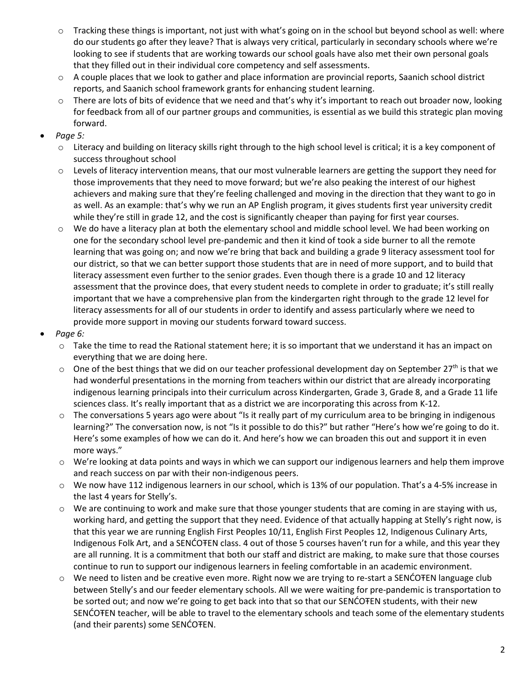- o Tracking these things is important, not just with what's going on in the school but beyond school as well: where do our students go after they leave? That is always very critical, particularly in secondary schools where we're looking to see if students that are working towards our school goals have also met their own personal goals that they filled out in their individual core competency and self assessments.
- $\circ$  A couple places that we look to gather and place information are provincial reports, Saanich school district reports, and Saanich school framework grants for enhancing student learning.
- o There are lots of bits of evidence that we need and that's why it's important to reach out broader now, looking for feedback from all of our partner groups and communities, is essential as we build this strategic plan moving forward.
- *Page 5:*
	- $\circ$  Literacy and building on literacy skills right through to the high school level is critical; it is a key component of success throughout school
	- $\circ$  Levels of literacy intervention means, that our most vulnerable learners are getting the support they need for those improvements that they need to move forward; but we're also peaking the interest of our highest achievers and making sure that they're feeling challenged and moving in the direction that they want to go in as well. As an example: that's why we run an AP English program, it gives students first year university credit while they're still in grade 12, and the cost is significantly cheaper than paying for first year courses.
	- o We do have a literacy plan at both the elementary school and middle school level. We had been working on one for the secondary school level pre-pandemic and then it kind of took a side burner to all the remote learning that was going on; and now we're bring that back and building a grade 9 literacy assessment tool for our district, so that we can better support those students that are in need of more support, and to build that literacy assessment even further to the senior grades. Even though there is a grade 10 and 12 literacy assessment that the province does, that every student needs to complete in order to graduate; it's still really important that we have a comprehensive plan from the kindergarten right through to the grade 12 level for literacy assessments for all of our students in order to identify and assess particularly where we need to provide more support in moving our students forward toward success.
- *Page 6:*
	- o Take the time to read the Rational statement here; it is so important that we understand it has an impact on everything that we are doing here.
	- $\circ$  One of the best things that we did on our teacher professional development day on September 27<sup>th</sup> is that we had wonderful presentations in the morning from teachers within our district that are already incorporating indigenous learning principals into their curriculum across Kindergarten, Grade 3, Grade 8, and a Grade 11 life sciences class. It's really important that as a district we are incorporating this across from K-12.
	- $\circ$  The conversations 5 years ago were about "Is it really part of my curriculum area to be bringing in indigenous learning?" The conversation now, is not "Is it possible to do this?" but rather "Here's how we're going to do it. Here's some examples of how we can do it. And here's how we can broaden this out and support it in even more ways."
	- o We're looking at data points and ways in which we can support our indigenous learners and help them improve and reach success on par with their non-indigenous peers.
	- o We now have 112 indigenous learners in our school, which is 13% of our population. That's a 4-5% increase in the last 4 years for Stelly's.
	- $\circ$  We are continuing to work and make sure that those younger students that are coming in are staying with us, working hard, and getting the support that they need. Evidence of that actually happing at Stelly's right now, is that this year we are running English First Peoples 10/11, English First Peoples 12, Indigenous Culinary Arts, Indigenous Folk Art, and a SENĆOŦEN class. 4 out of those 5 courses haven't run for a while, and this year they are all running. It is a commitment that both our staff and district are making, to make sure that those courses continue to run to support our indigenous learners in feeling comfortable in an academic environment.
	- o We need to listen and be creative even more. Right now we are trying to re-start a SENĆOŦEN language club between Stelly's and our feeder elementary schools. All we were waiting for pre-pandemic is transportation to be sorted out; and now we're going to get back into that so that our SENCOTEN students, with their new SENĆOŦEN teacher, will be able to travel to the elementary schools and teach some of the elementary students (and their parents) some SENĆOŦEN.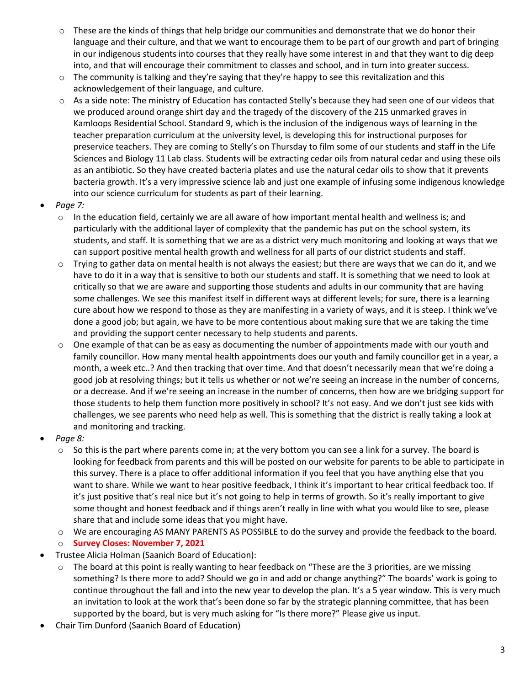- $\circ$  These are the kinds of things that help bridge our communities and demonstrate that we do honor their language and their culture, and that we want to encourage them to be part of our growth and part of bringing in our indigenous students into courses that they really have some interest in and that they want to dig deep into, and that will encourage their commitment to classes and school, and in turn into greater success.
- $\circ$  The community is talking and they're saying that they're happy to see this revitalization and this acknowledgement of their language, and culture.
- o As a side note: The ministry of Education has contacted Stelly's because they had seen one of our videos that we produced around orange shirt day and the tragedy of the discovery of the 215 unmarked graves in Kamloops Residential School. Standard 9, which is the inclusion of the indigenous ways of learning in the teacher preparation curriculum at the university level, is developing this for instructional purposes for preservice teachers. They are coming to Stelly's on Thursday to film some of our students and staff in the Life Sciences and Biology 11 Lab class. Students will be extracting cedar oils from natural cedar and using these oils as an antibiotic. So they have created bacteria plates and use the natural cedar oils to show that it prevents bacteria growth. It's a very impressive science lab and just one example of infusing some indigenous knowledge into our science curriculum for students as part of their learning.
- *Page 7:*
	- $\circ$  In the education field, certainly we are all aware of how important mental health and wellness is; and particularly with the additional layer of complexity that the pandemic has put on the school system, its students, and staff. It is something that we are as a district very much monitoring and looking at ways that we can support positive mental health growth and wellness for all parts of our district students and staff.
	- $\circ$  Trying to gather data on mental health is not always the easiest; but there are ways that we can do it, and we have to do it in a way that is sensitive to both our students and staff. It is something that we need to look at critically so that we are aware and supporting those students and adults in our community that are having some challenges. We see this manifest itself in different ways at different levels; for sure, there is a learning cure about how we respond to those as they are manifesting in a variety of ways, and it is steep. I think we've done a good job; but again, we have to be more contentious about making sure that we are taking the time and providing the support center necessary to help students and parents.
	- $\circ$  One example of that can be as easy as documenting the number of appointments made with our youth and family councillor. How many mental health appointments does our youth and family councillor get in a year, a month, a week etc..? And then tracking that over time. And that doesn't necessarily mean that we're doing a good job at resolving things; but it tells us whether or not we're seeing an increase in the number of concerns, or a decrease. And if we're seeing an increase in the number of concerns, then how are we bridging support for those students to help them function more positively in school? It's not easy. And we don't just see kids with challenges, we see parents who need help as well. This is something that the district is really taking a look at and monitoring and tracking.
- *Page 8:*
	- $\circ$  So this is the part where parents come in; at the very bottom you can see a link for a survey. The board is looking for feedback from parents and this will be posted on our website for parents to be able to participate in this survey. There is a place to offer additional information if you feel that you have anything else that you want to share. While we want to hear positive feedback, I think it's important to hear critical feedback too. If it's just positive that's real nice but it's not going to help in terms of growth. So it's really important to give some thought and honest feedback and if things aren't really in line with what you would like to see, please share that and include some ideas that you might have.
	- o We are encouraging AS MANY PARENTS AS POSSIBLE to do the survey and provide the feedback to the board.
	- o **Survey Closes: November 7, 2021**
- Trustee Alicia Holman (Saanich Board of Education):
	- The board at this point is really wanting to hear feedback on "These are the 3 priorities, are we missing something? Is there more to add? Should we go in and add or change anything?" The boards' work is going to continue throughout the fall and into the new year to develop the plan. It's a 5 year window. This is very much an invitation to look at the work that's been done so far by the strategic planning committee, that has been supported by the board, but is very much asking for "Is there more?" Please give us input.
- Chair Tim Dunford (Saanich Board of Education)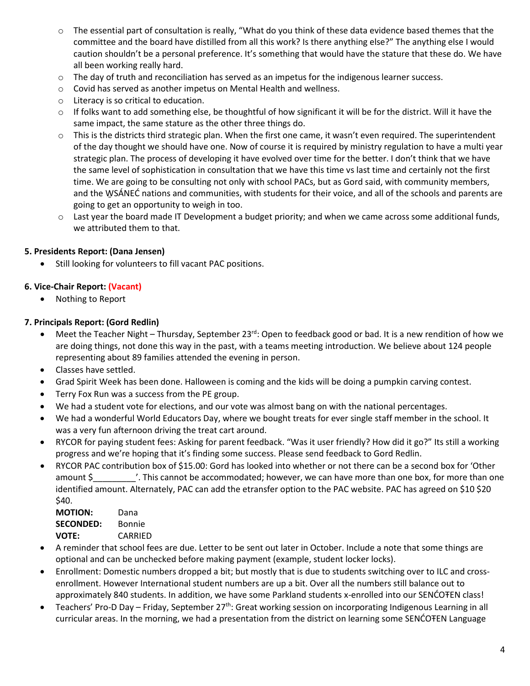- o The essential part of consultation is really, "What do you think of these data evidence based themes that the committee and the board have distilled from all this work? Is there anything else?" The anything else I would caution shouldn't be a personal preference. It's something that would have the stature that these do. We have all been working really hard.
- $\circ$  The day of truth and reconciliation has served as an impetus for the indigenous learner success.
- $\circ$  Covid has served as another impetus on Mental Health and wellness.
- o Literacy is so critical to education.
- $\circ$  If folks want to add something else, be thoughtful of how significant it will be for the district. Will it have the same impact, the same stature as the other three things do.
- $\circ$  This is the districts third strategic plan. When the first one came, it wasn't even required. The superintendent of the day thought we should have one. Now of course it is required by ministry regulation to have a multi year strategic plan. The process of developing it have evolved over time for the better. I don't think that we have the same level of sophistication in consultation that we have this time vs last time and certainly not the first time. We are going to be consulting not only with school PACs, but as Gord said, with community members, and the W̱SÁNEĆ nations and communities, with students for their voice, and all of the schools and parents are going to get an opportunity to weigh in too.
- o Last year the board made IT Development a budget priority; and when we came across some additional funds, we attributed them to that.

## **5. Presidents Report: (Dana Jensen)**

Still looking for volunteers to fill vacant PAC positions.

## **6. Vice-Chair Report: (Vacant)**

• Nothing to Report

## **7. Principals Report: (Gord Redlin)**

- Meet the Teacher Night Thursday, September 23<sup>rd</sup>: Open to feedback good or bad. It is a new rendition of how we are doing things, not done this way in the past, with a teams meeting introduction. We believe about 124 people representing about 89 families attended the evening in person.
- Classes have settled.
- Grad Spirit Week has been done. Halloween is coming and the kids will be doing a pumpkin carving contest.
- Terry Fox Run was a success from the PE group.
- We had a student vote for elections, and our vote was almost bang on with the national percentages.
- We had a wonderful World Educators Day, where we bought treats for ever single staff member in the school. It was a very fun afternoon driving the treat cart around.
- RYCOR for paying student fees: Asking for parent feedback. "Was it user friendly? How did it go?" Its still a working progress and we're hoping that it's finding some success. Please send feedback to Gord Redlin.
- RYCOR PAC contribution box of \$15.00: Gord has looked into whether or not there can be a second box for 'Other amount \$ This cannot be accommodated; however, we can have more than one box, for more than one identified amount. Alternately, PAC can add the etransfer option to the PAC website. PAC has agreed on \$10 \$20 \$40.

| <b>MOTION:</b>   | Dana    |
|------------------|---------|
| <b>SECONDED:</b> | Bonnie  |
| <b>VOTE:</b>     | CARRIED |

- A reminder that school fees are due. Letter to be sent out later in October. Include a note that some things are optional and can be unchecked before making payment (example, student locker locks).
- Enrollment: Domestic numbers dropped a bit; but mostly that is due to students switching over to ILC and crossenrollment. However International student numbers are up a bit. Over all the numbers still balance out to approximately 840 students. In addition, we have some Parkland students x-enrolled into our SENĆOŦEN class!
- Teachers' Pro-D Day Friday, September 27<sup>th</sup>: Great working session on incorporating Indigenous Learning in all curricular areas. In the morning, we had a presentation from the district on learning some SENĆOŦEN Language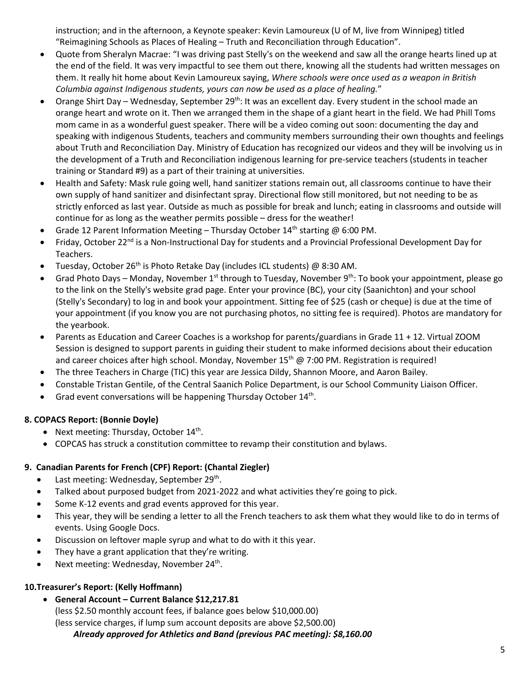instruction; and in the afternoon, a Keynote speaker: Kevin Lamoureux (U of M, live from Winnipeg) titled "Reimagining Schools as Places of Healing – Truth and Reconciliation through Education".

- Quote from Sheralyn Macrae: "I was driving past Stelly's on the weekend and saw all the orange hearts lined up at the end of the field. It was very impactful to see them out there, knowing all the students had written messages on them. It really hit home about Kevin Lamoureux saying, *Where schools were once used as a weapon in British Columbia against Indigenous students, yours can now be used as a place of healing.*"
- Orange Shirt Day Wednesday, September 29<sup>th</sup>: It was an excellent day. Every student in the school made an orange heart and wrote on it. Then we arranged them in the shape of a giant heart in the field. We had Phill Toms mom came in as a wonderful guest speaker. There will be a video coming out soon: documenting the day and speaking with indigenous Students, teachers and community members surrounding their own thoughts and feelings about Truth and Reconciliation Day. Ministry of Education has recognized our videos and they will be involving us in the development of a Truth and Reconciliation indigenous learning for pre-service teachers (students in teacher training or Standard #9) as a part of their training at universities.
- Health and Safety: Mask rule going well, hand sanitizer stations remain out, all classrooms continue to have their own supply of hand sanitizer and disinfectant spray. Directional flow still monitored, but not needing to be as strictly enforced as last year. Outside as much as possible for break and lunch; eating in classrooms and outside will continue for as long as the weather permits possible – dress for the weather!
- Grade 12 Parent Information Meeting Thursday October  $14<sup>th</sup>$  starting @ 6:00 PM.
- Friday, October 22<sup>nd</sup> is a Non-Instructional Day for students and a Provincial Professional Development Day for Teachers.
- Tuesday, October 26<sup>th</sup> is Photo Retake Day (includes ICL students)  $\omega$  8:30 AM.
- Grad Photo Days Monday, November 1<sup>st</sup> through to Tuesday, November 9<sup>th</sup>: To book your appointment, please go to the link on the Stelly's website grad page. Enter your province (BC), your city (Saanichton) and your school (Stelly's Secondary) to log in and book your appointment. Sitting fee of \$25 (cash or cheque) is due at the time of your appointment (if you know you are not purchasing photos, no sitting fee is required). Photos are mandatory for the yearbook.
- Parents as Education and Career Coaches is a workshop for parents/guardians in Grade 11 + 12. Virtual ZOOM Session is designed to support parents in guiding their student to make informed decisions about their education and career choices after high school. Monday, November  $15<sup>th</sup>$  @ 7:00 PM. Registration is required!
- The three Teachers in Charge (TIC) this year are Jessica Dildy, Shannon Moore, and Aaron Bailey.
- Constable Tristan Gentile, of the Central Saanich Police Department, is our School Community Liaison Officer.
- Grad event conversations will be happening Thursday October 14<sup>th</sup>.

## **8. COPACS Report: (Bonnie Doyle)**

- Next meeting: Thursday, October  $14<sup>th</sup>$ .
- COPCAS has struck a constitution committee to revamp their constitution and bylaws.

# **9. Canadian Parents for French (CPF) Report: (Chantal Ziegler)**

- Last meeting: Wednesday, September 29<sup>th</sup>.
- Talked about purposed budget from 2021-2022 and what activities they're going to pick.
- Some K-12 events and grad events approved for this year.
- This year, they will be sending a letter to all the French teachers to ask them what they would like to do in terms of events. Using Google Docs.
- Discussion on leftover maple syrup and what to do with it this year.
- They have a grant application that they're writing.
- Next meeting: Wednesday, November  $24<sup>th</sup>$ .

## **10.Treasurer's Report: (Kelly Hoffmann)**

• **General Account – Current Balance \$12,217.81** (less \$2.50 monthly account fees, if balance goes below \$10,000.00) (less service charges, if lump sum account deposits are above \$2,500.00) *Already approved for Athletics and Band (previous PAC meeting): \$8,160.00*